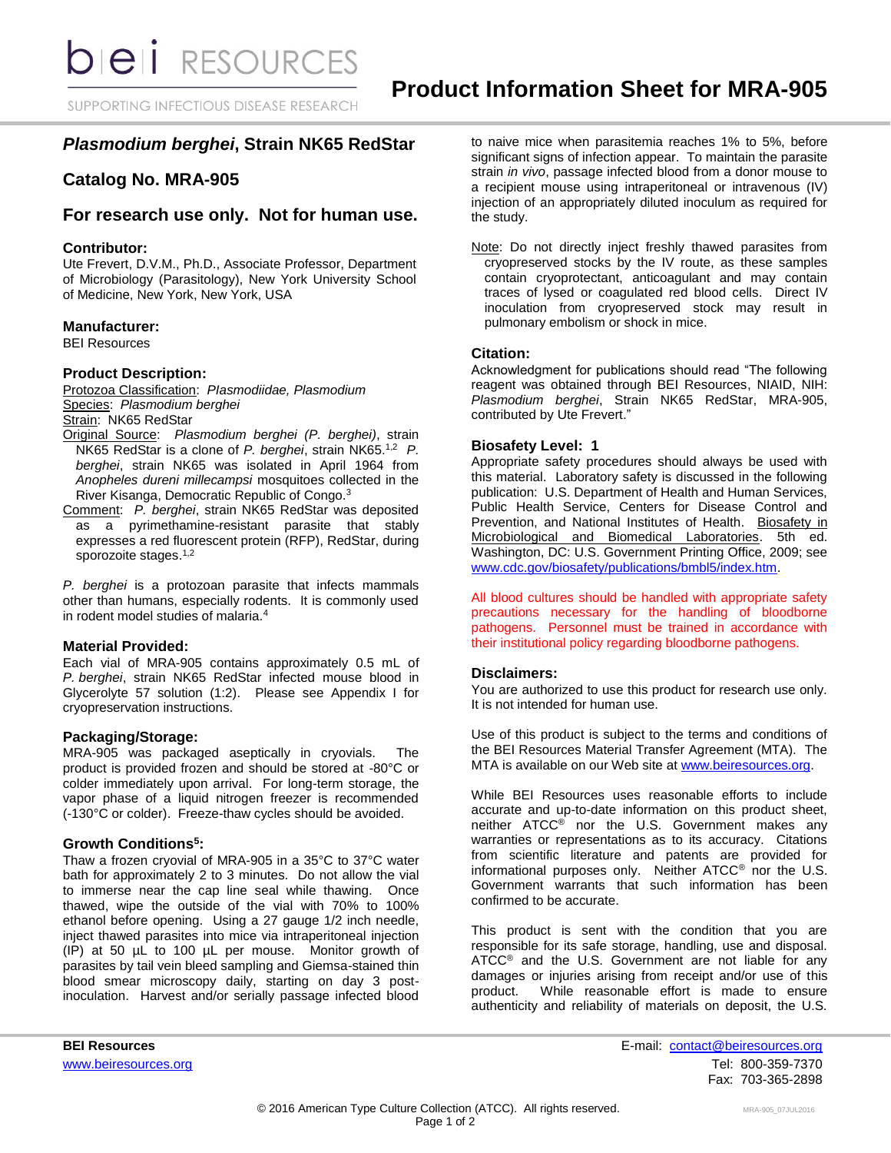SUPPORTING INFECTIOUS DISEASE RESEARCH

# *Plasmodium berghei***, Strain NK65 RedStar**

## **Catalog No. MRA-905**

## **For research use only. Not for human use.**

## **Contributor:**

Ute Frevert, D.V.M., Ph.D., Associate Professor, Department of Microbiology (Parasitology), New York University School of Medicine, New York, New York, USA

## **Manufacturer:**

BEI Resources

## **Product Description:**

Protozoa Classification: *PIasmodiidae, Plasmodium* Species: *Plasmodium berghei*

Strain: NK65 RedStar

- Original Source: *Plasmodium berghei (P. berghei)*, strain NK65 RedStar is a clone of *P. berghei*, strain NK65.1,2 *P. berghei*, strain NK65 was isolated in April 1964 from *Anopheles dureni millecampsi* mosquitoes collected in the River Kisanga, Democratic Republic of Congo.<sup>3</sup>
- Comment: *P. berghei*, strain NK65 RedStar was deposited as a pyrimethamine-resistant parasite that stably expresses a red fluorescent protein (RFP), RedStar, during sporozoite stages.<sup>1,2</sup>

*P. berghei* is a protozoan parasite that infects mammals other than humans, especially rodents. It is commonly used in rodent model studies of malaria.<sup>4</sup>

#### **Material Provided:**

Each vial of MRA-905 contains approximately 0.5 mL of *P. berghei*, strain NK65 RedStar infected mouse blood in Glycerolyte 57 solution (1:2). Please see Appendix I for cryopreservation instructions.

### **Packaging/Storage:**

MRA-905 was packaged aseptically in cryovials. The product is provided frozen and should be stored at -80°C or colder immediately upon arrival. For long-term storage, the vapor phase of a liquid nitrogen freezer is recommended (-130°C or colder). Freeze-thaw cycles should be avoided.

## **Growth Conditions<sup>5</sup> :**

Thaw a frozen cryovial of MRA-905 in a 35°C to 37°C water bath for approximately 2 to 3 minutes. Do not allow the vial to immerse near the cap line seal while thawing. Once thawed, wipe the outside of the vial with 70% to 100% ethanol before opening. Using a 27 gauge 1/2 inch needle, inject thawed parasites into mice via intraperitoneal injection (IP) at 50 µL to 100 µL per mouse. Monitor growth of parasites by tail vein bleed sampling and Giemsa-stained thin blood smear microscopy daily, starting on day 3 postinoculation. Harvest and/or serially passage infected blood

to naive mice when parasitemia reaches 1% to 5%, before significant signs of infection appear. To maintain the parasite strain *in vivo*, passage infected blood from a donor mouse to a recipient mouse using intraperitoneal or intravenous (IV) injection of an appropriately diluted inoculum as required for the study.

Note: Do not directly inject freshly thawed parasites from cryopreserved stocks by the IV route, as these samples contain cryoprotectant, anticoagulant and may contain traces of lysed or coagulated red blood cells. Direct IV inoculation from cryopreserved stock may result in pulmonary embolism or shock in mice.

## **Citation:**

Acknowledgment for publications should read "The following reagent was obtained through BEI Resources, NIAID, NIH: *Plasmodium berghei*, Strain NK65 RedStar, MRA-905, contributed by Ute Frevert."

## **Biosafety Level: 1**

Appropriate safety procedures should always be used with this material. Laboratory safety is discussed in the following publication: U.S. Department of Health and Human Services, Public Health Service, Centers for Disease Control and Prevention, and National Institutes of Health. Biosafety in Microbiological and Biomedical Laboratories. 5th ed. Washington, DC: U.S. Government Printing Office, 2009; see [www.cdc.gov/biosafety/publications/bmbl5/index.htm.](http://www.cdc.gov/biosafety/publications/bmbl5/index.htm)

All blood cultures should be handled with appropriate safety precautions necessary for the handling of bloodborne pathogens. Personnel must be trained in accordance with their institutional policy regarding bloodborne pathogens.

## **Disclaimers:**

You are authorized to use this product for research use only. It is not intended for human use.

Use of this product is subject to the terms and conditions of the BEI Resources Material Transfer Agreement (MTA). The MTA is available on our Web site at [www.beiresources.org.](http://www.beiresources.org/)

While BEI Resources uses reasonable efforts to include accurate and up-to-date information on this product sheet, neither ATCC<sup>®</sup> nor the U.S. Government makes any warranties or representations as to its accuracy. Citations from scientific literature and patents are provided for informational purposes only. Neither ATCC® nor the U.S. Government warrants that such information has been confirmed to be accurate.

This product is sent with the condition that you are responsible for its safe storage, handling, use and disposal. ATCC<sup>®</sup> and the U.S. Government are not liable for any damages or injuries arising from receipt and/or use of this product. While reasonable effort is made to ensure authenticity and reliability of materials on deposit, the U.S.

**BEI Resources** E-mail: contact@beiresources.org [www.beiresources.org](http://www.beiresources.org/) **Tel: 800-359-7370** Fax: 703-365-2898